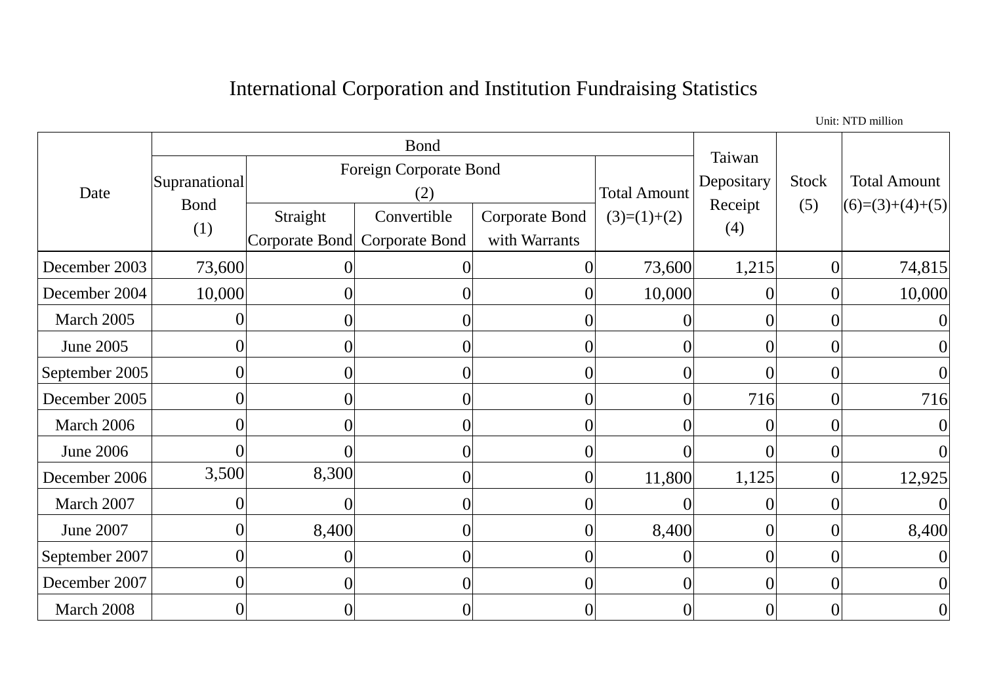## International Corporation and Institution Fundraising Statistics

Date Bond Taiwan Depositary Receipt (4) Stock (5) Total Amount  $(6)=(3)+(4)+(5)$ Supranational Bond (1) Foreign Corporate Bond (2) Total Amount Straight | Convertible | Corporate Bond |  $(3)=(1)+(2)$ Corporate Bond Corporate Bond Convertible with Warrants December 2003 | 73,600 | 0 0 0 0 0 73,600 1,215 0 74,815 December 2004 | 10,000 | 0 0 0 0 0 0 0 0 0 0 10,000 0 0 10,000 March 2005  $\begin{vmatrix} 0 & 0 & 0 \\ 0 & 0 & 0 \end{vmatrix}$  (and  $\begin{vmatrix} 0 & 0 & 0 \\ 0 & 0 & 0 \end{vmatrix}$  (b) June 2005 0 0 0 0 0 0 0 0 September 2005  $\begin{array}{cccc} \vert & 0 \vert & 0 \vert & 0 \vert & 0 \vert & 0 \vert & 0 \vert & 0 \end{array}$ December 2005 | 0 0 0 0 0 0 0 0 716 0 716 716 March 2006  $\begin{vmatrix} 0 & 0 & 0 \\ 0 & 0 & 0 \end{vmatrix}$  (and  $\begin{vmatrix} 0 & 0 & 0 \\ 0 & 0 & 0 \end{vmatrix}$  (b) June 2006 0 0 0 0 0 0 0 0 December 2006 3,500 8,300 0 0 11,800 1,125 0 12,925 March 2007  $\begin{vmatrix} 0 & 0 & 0 \\ 0 & 0 & 0 \end{vmatrix}$  (and  $\begin{vmatrix} 0 & 0 & 0 \\ 0 & 0 & 0 \end{vmatrix}$  (b) June 2007 0 8,400 0 0 8,400 0 0 8,400 September 2007  $\begin{array}{cccc} 0 & 0 & 0 & 0 & 0 \end{array}$ December 2007  $\begin{array}{cccc} 0 & 0 & 0 & 0 & 0 \end{array}$ March 2008  $\begin{vmatrix} 0 & 0 & 0 \\ 0 & 0 & 0 \end{vmatrix}$  (and  $\begin{vmatrix} 0 & 0 & 0 \\ 0 & 0 & 0 \end{vmatrix}$  (b)

Unit: NTD million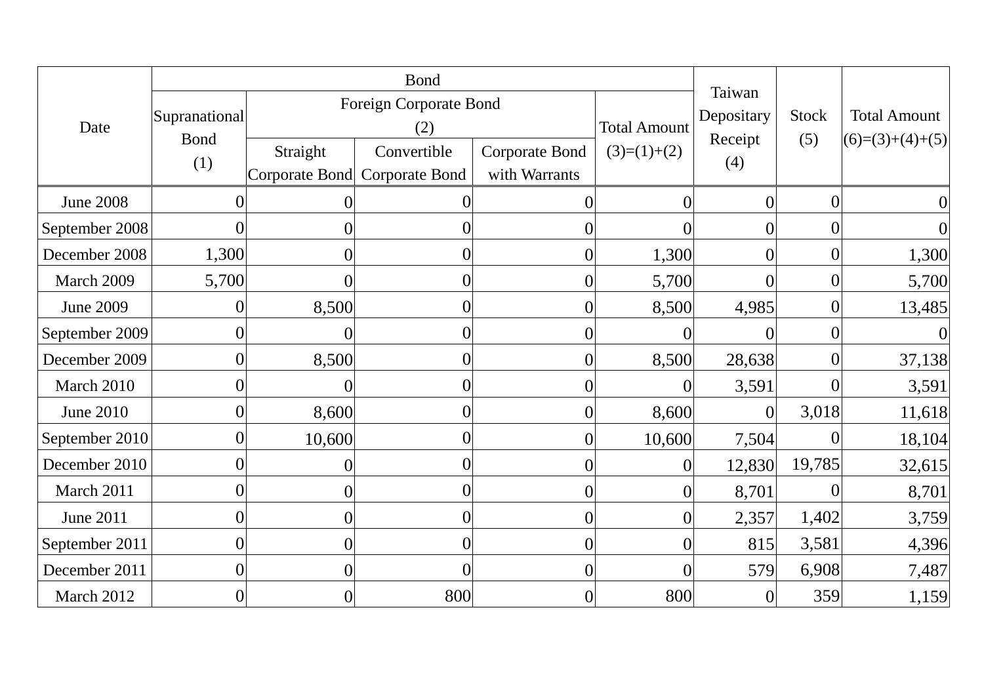|                  | <b>Bond</b>                         |                               |                                              |                                        |                     |                      |                  |                     |
|------------------|-------------------------------------|-------------------------------|----------------------------------------------|----------------------------------------|---------------------|----------------------|------------------|---------------------|
| Date             | Supranational<br><b>Bond</b><br>(1) | Foreign Corporate Bond<br>(2) |                                              |                                        | <b>Total Amount</b> | Taiwan<br>Depositary | <b>Stock</b>     | <b>Total Amount</b> |
|                  |                                     | Straight                      | Convertible<br>Corporate Bond Corporate Bond | <b>Corporate Bond</b><br>with Warrants | $(3)=(1)+(2)$       | Receipt<br>(4)       | (5)              | $(6)=(3)+(4)+(5)$   |
| <b>June 2008</b> | $\Omega$                            | 0                             |                                              |                                        | $\theta$            | $\overline{0}$       | $\Omega$         | $\overline{0}$      |
| September 2008   | $\sqrt{ }$                          | $\theta$                      |                                              |                                        |                     | $\overline{0}$       | $\theta$         | $\overline{0}$      |
| December 2008    | 1,300                               | $\overline{0}$                | $\theta$                                     | $\theta$                               | 1,300               | $\overline{0}$       | $\Omega$         | 1,300               |
| March 2009       | 5,700                               | 0                             | $\overline{0}$                               |                                        | 5,700               | 0                    | $\theta$         | 5,700               |
| <b>June 2009</b> | C                                   | 8,500                         |                                              |                                        | 8,500               | 4,985                |                  | 13,485              |
| September 2009   | $\overline{0}$                      | 0                             |                                              |                                        |                     |                      |                  | $\Omega$            |
| December 2009    | $\overline{0}$                      | 8,500                         |                                              |                                        | 8,500               | 28,638               | 0                | 37,138              |
| March 2010       | $\overline{0}$                      | 0                             | $\theta$                                     |                                        | $\Omega$            | 3,591                | $\Omega$         | 3,591               |
| <b>June 2010</b> | $\overline{0}$                      | 8,600                         | $\overline{0}$                               |                                        | 8,600               |                      | 3,018            | 11,618              |
| September 2010   | $\boldsymbol{0}$                    | 10,600                        | 0                                            |                                        | 10,600              | 7,504                | $\left( \right)$ | 18,104              |
| December 2010    | $\overline{0}$                      | 0                             |                                              |                                        | $\Omega$            | 12,830               | 19,785           | 32,615              |
| March 2011       | $\overline{0}$                      | 0                             |                                              |                                        |                     | 8,701                |                  | 8,701               |
| <b>June 2011</b> | $\overline{0}$                      | $\overline{0}$                | $\theta$                                     | $\Omega$                               | $\theta$            | 2,357                | 1,402            | 3,759               |
| September 2011   | $\overline{0}$                      | $\overline{0}$                | $\theta$                                     | $\left( \right)$                       | $\Omega$            | 815                  | 3,581            | 4,396               |
| December 2011    | $\overline{0}$                      | $\overline{0}$                | 0                                            | 0                                      | $\overline{0}$      | 579                  | 6,908            | 7,487               |
| March 2012       | $\boldsymbol{0}$                    | 0                             | 800                                          |                                        | 800                 | 0                    | 359              | 1,159               |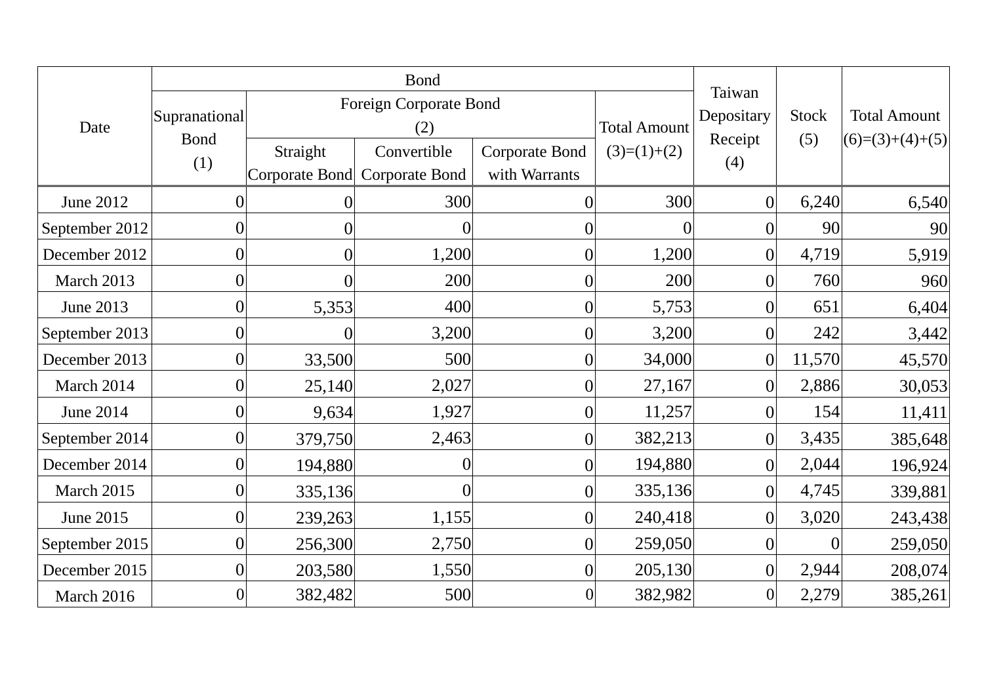|                  | <b>Bond</b>                         |                               |                                      |                                 |                     |                      |              |                     |
|------------------|-------------------------------------|-------------------------------|--------------------------------------|---------------------------------|---------------------|----------------------|--------------|---------------------|
| Date             | Supranational<br><b>Bond</b><br>(1) | Foreign Corporate Bond<br>(2) |                                      |                                 | <b>Total Amount</b> | Taiwan<br>Depositary | <b>Stock</b> | <b>Total Amount</b> |
|                  |                                     | Straight<br>Corporate Bond    | Convertible<br><b>Corporate Bond</b> | Corporate Bond<br>with Warrants | $(3)=(1)+(2)$       | Receipt<br>(4)       | (5)          | $(6)=(3)+(4)+(5)$   |
| <b>June 2012</b> | $\theta$                            |                               | 300                                  | $\left( \right)$                | 300                 | $\overline{0}$       | 6,240        | 6,540               |
| September 2012   | $\overline{0}$                      | 0                             |                                      | 0                               |                     | $\overline{0}$       | 90           | 90                  |
| December 2012    | $\overline{0}$                      | 0                             | 1,200                                | $\overline{0}$                  | 1,200               | $\overline{0}$       | 4,719        | 5,919               |
| March 2013       | $\boldsymbol{0}$                    |                               | 200                                  | $\theta$                        | 200                 | $\overline{0}$       | 760          | 960                 |
| June 2013        | $\overline{0}$                      | 5,353                         | 400                                  | $\overline{0}$                  | 5,753               | $\overline{0}$       | 651          | 6,404               |
| September 2013   | $\theta$                            | $\bigcap$                     | 3,200                                |                                 | 3,200               | 0                    | 242          | 3,442               |
| December 2013    | $\overline{0}$                      | 33,500                        | 500                                  | 0                               | 34,000              | $\overline{0}$       | 11,570       | 45,570              |
| March 2014       | $\overline{0}$                      | 25,140                        | 2,027                                | $\theta$                        | 27,167              | $\overline{0}$       | 2,886        | 30,053              |
| <b>June 2014</b> | $\overline{0}$                      | 9,634                         | 1,927                                | $\Omega$                        | 11,257              | $\overline{0}$       | 154          | 11,411              |
| September 2014   | $\overline{0}$                      | 379,750                       | 2,463                                | $\theta$                        | 382,213             | $\boldsymbol{0}$     | 3,435        | 385,648             |
| December 2014    | $\theta$                            | 194,880                       |                                      | 0                               | 194,880             | $\overline{0}$       | 2,044        | 196,924             |
| March 2015       | $\overline{0}$                      | 335,136                       |                                      |                                 | 335,136             | $\overline{0}$       | 4,745        | 339,881             |
| <b>June 2015</b> | $\overline{0}$                      | 239,263                       | 1,155                                | $\overline{0}$                  | 240,418             | $\overline{0}$       | 3,020        | 243,438             |
| September 2015   | $\overline{0}$                      | 256,300                       | 2,750                                | $\Omega$                        | 259,050             | $\overline{0}$       | $\Omega$     | 259,050             |
| December 2015    | $\overline{0}$                      | 203,580                       | 1,550                                | $\overline{0}$                  | 205,130             | $\boldsymbol{0}$     | 2,944        | 208,074             |
| March 2016       |                                     | 382,482                       | 500                                  |                                 | 382,982             | $\boldsymbol{0}$     | 2,279        | 385,261             |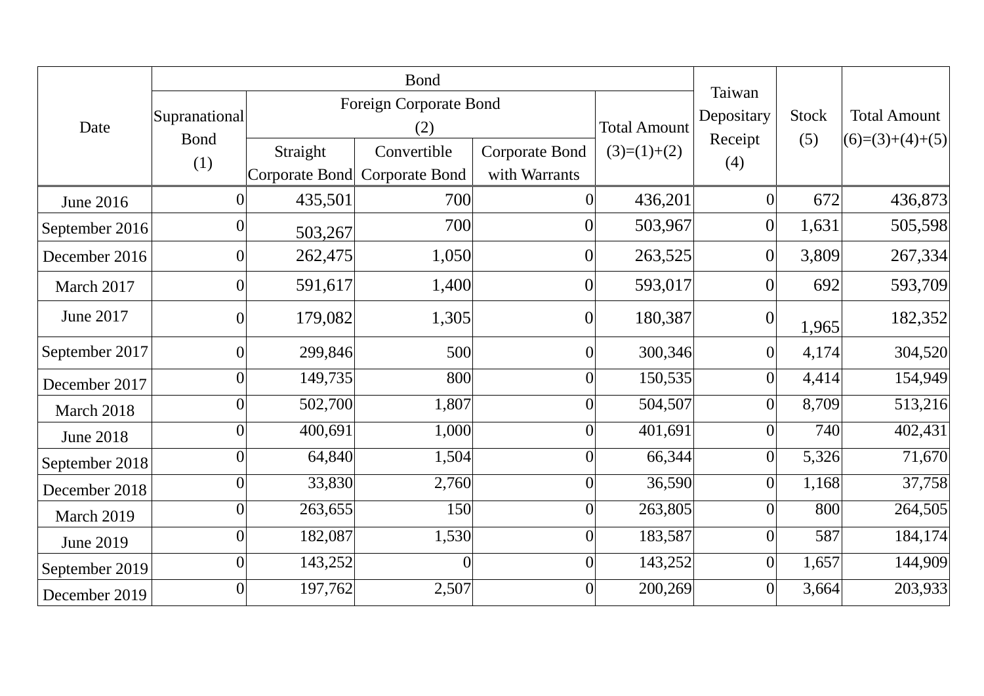|                  | <b>Bond</b>                  |                            |                                      |                                 |                     |                      |              |                     |
|------------------|------------------------------|----------------------------|--------------------------------------|---------------------------------|---------------------|----------------------|--------------|---------------------|
| Date             | Supranational<br><b>Bond</b> | Foreign Corporate Bond     |                                      |                                 |                     | Taiwan<br>Depositary | <b>Stock</b> | <b>Total Amount</b> |
|                  |                              | (2)                        |                                      |                                 | <b>Total Amount</b> | Receipt              | (5)          | $(6)=(3)+(4)+(5)$   |
|                  | (1)                          | Straight<br>Corporate Bond | Convertible<br><b>Corporate Bond</b> | Corporate Bond<br>with Warrants | $(3)=(1)+(2)$       | (4)                  |              |                     |
| <b>June 2016</b> | $\Omega$                     | 435,501                    | 700                                  | $\Omega$                        | 436,201             | $\overline{0}$       | 672          | 436,873             |
| September 2016   | $\theta$                     |                            | 700                                  | $\overline{0}$                  | 503,967             | $\overline{0}$       | 1,631        | 505,598             |
| December 2016    | $\theta$                     | 503,267<br>262,475         | 1,050                                | $\theta$                        | 263,525             | $\overline{0}$       | 3,809        | 267,334             |
| March 2017       | $\overline{0}$               | 591,617                    | 1,400                                | $\overline{0}$                  | 593,017             | $\overline{0}$       | 692          | 593,709             |
| <b>June 2017</b> | $\theta$                     | 179,082                    | 1,305                                | $\overline{0}$                  | 180,387             | $\overline{0}$       | 1,965        | 182,352             |
| September 2017   | $\overline{0}$               | 299,846                    | 500                                  | $\theta$                        | 300,346             | $\boldsymbol{0}$     | 4,174        | 304,520             |
| December 2017    | $\Omega$                     | 149,735                    | 800                                  |                                 | 150,535             | $\overline{0}$       | 4,414        | 154,949             |
| March 2018       | $\theta$                     | 502,700                    | 1,807                                |                                 | 504,507             | $\overline{0}$       | 8,709        | 513,216             |
| <b>June 2018</b> | $\overline{0}$               | 400,691                    | 1,000                                | $\theta$                        | 401,691             | $\theta$             | 740          | 402,431             |
| September 2018   | $\theta$                     | 64,840                     | 1,504                                | $\overline{0}$                  | 66,344              | $\overline{0}$       | 5,326        | 71,670              |
| December 2018    | $\overline{0}$               | 33,830                     | 2,760                                | $\overline{0}$                  | 36,590              | $\overline{0}$       | 1,168        | 37,758              |
| March 2019       | $\theta$                     | 263,655                    | 150                                  | $\Omega$                        | 263,805             | $\overline{0}$       | 800          | 264,505             |
| <b>June 2019</b> | $\Omega$                     | 182,087                    | 1,530                                | $\Omega$                        | 183,587             | $\overline{0}$       | 587          | 184,174             |
| September 2019   | $\theta$                     | 143,252                    |                                      | $\Omega$                        | 143,252             | $\overline{0}$       | 1,657        | 144,909             |
| December 2019    | $\theta$                     | 197,762                    | 2,507                                | $\theta$                        | 200,269             | $\overline{0}$       | 3,664        | 203,933             |